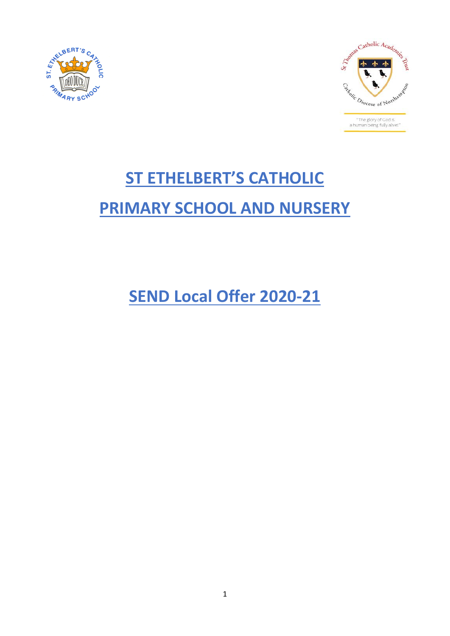



# **ST ETHELBERT'S CATHOLIC PRIMARY SCHOOL AND NURSERY**

**SEND Local Offer 2020-21**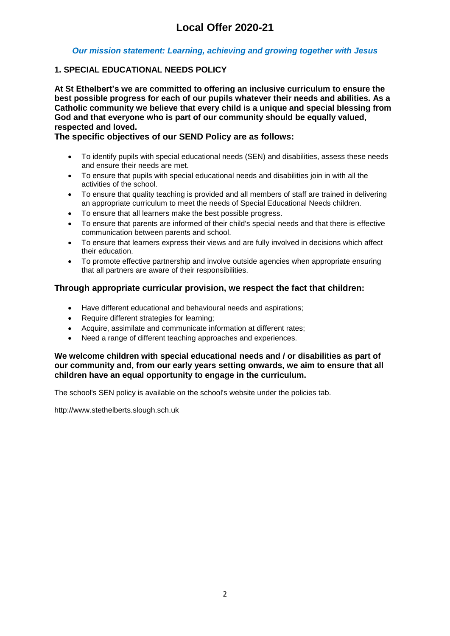# *Our mission statement: Learning, achieving and growing together with Jesus*

# **1. SPECIAL EDUCATIONAL NEEDS POLICY**

**At St Ethelbert's we are committed to offering an inclusive curriculum to ensure the best possible progress for each of our pupils whatever their needs and abilities. As a Catholic community we believe that every child is a unique and special blessing from God and that everyone who is part of our community should be equally valued, respected and loved.**

# **The specific objectives of our SEND Policy are as follows:**

- To identify pupils with special educational needs (SEN) and disabilities, assess these needs and ensure their needs are met.
- To ensure that pupils with special educational needs and disabilities join in with all the activities of the school.
- To ensure that quality teaching is provided and all members of staff are trained in delivering an appropriate curriculum to meet the needs of Special Educational Needs children.
- To ensure that all learners make the best possible progress.
- To ensure that parents are informed of their child's special needs and that there is effective communication between parents and school.
- To ensure that learners express their views and are fully involved in decisions which affect their education.
- To promote effective partnership and involve outside agencies when appropriate ensuring that all partners are aware of their responsibilities.

# **Through appropriate curricular provision, we respect the fact that children:**

- Have different educational and behavioural needs and aspirations;
- Require different strategies for learning;
- Acquire, assimilate and communicate information at different rates;
- Need a range of different teaching approaches and experiences.

#### **We welcome children with special educational needs and / or disabilities as part of our community and, from our early years setting onwards, we aim to ensure that all children have an equal opportunity to engage in the curriculum.**

The school's SEN policy is available on the school's website under the policies tab.

http://www.stethelberts.slough.sch.uk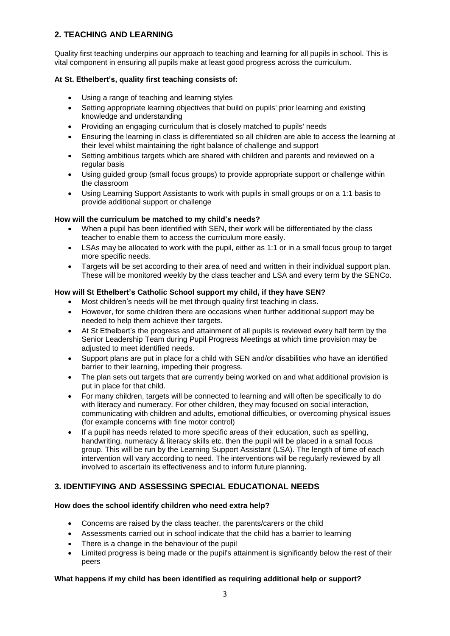# **2. TEACHING AND LEARNING**

Quality first teaching underpins our approach to teaching and learning for all pupils in school. This is vital component in ensuring all pupils make at least good progress across the curriculum.

#### **At St. Ethelbert's, quality first teaching consists of:**

- Using a range of teaching and learning styles
- Setting appropriate learning objectives that build on pupils' prior learning and existing knowledge and understanding
- Providing an engaging curriculum that is closely matched to pupils' needs
- Ensuring the learning in class is differentiated so all children are able to access the learning at their level whilst maintaining the right balance of challenge and support
- Setting ambitious targets which are shared with children and parents and reviewed on a regular basis
- Using guided group (small focus groups) to provide appropriate support or challenge within the classroom
- Using Learning Support Assistants to work with pupils in small groups or on a 1:1 basis to provide additional support or challenge

#### **How will the curriculum be matched to my child's needs?**

- When a pupil has been identified with SEN, their work will be differentiated by the class teacher to enable them to access the curriculum more easily.
- LSAs may be allocated to work with the pupil, either as 1:1 or in a small focus group to target more specific needs.
- Targets will be set according to their area of need and written in their individual support plan. These will be monitored weekly by the class teacher and LSA and every term by the SENCo.

#### **How will St Ethelbert's Catholic School support my child, if they have SEN?**

- Most children's needs will be met through quality first teaching in class.
- However, for some children there are occasions when further additional support may be needed to help them achieve their targets.
- At St Ethelbert's the progress and attainment of all pupils is reviewed every half term by the Senior Leadership Team during Pupil Progress Meetings at which time provision may be adjusted to meet identified needs.
- Support plans are put in place for a child with SEN and/or disabilities who have an identified barrier to their learning, impeding their progress.
- The plan sets out targets that are currently being worked on and what additional provision is put in place for that child.
- For many children, targets will be connected to learning and will often be specifically to do with literacy and numeracy. For other children, they may focused on social interaction, communicating with children and adults, emotional difficulties, or overcoming physical issues (for example concerns with fine motor control)
- If a pupil has needs related to more specific areas of their education, such as spelling, handwriting, numeracy & literacy skills etc. then the pupil will be placed in a small focus group. This will be run by the Learning Support Assistant (LSA). The length of time of each intervention will vary according to need. The interventions will be regularly reviewed by all involved to ascertain its effectiveness and to inform future planning**.**

# **3. IDENTIFYING AND ASSESSING SPECIAL EDUCATIONAL NEEDS**

#### **How does the school identify children who need extra help?**

- Concerns are raised by the class teacher, the parents/carers or the child
- Assessments carried out in school indicate that the child has a barrier to learning
- There is a change in the behaviour of the pupil
- Limited progress is being made or the pupil's attainment is significantly below the rest of their peers

#### **What happens if my child has been identified as requiring additional help or support?**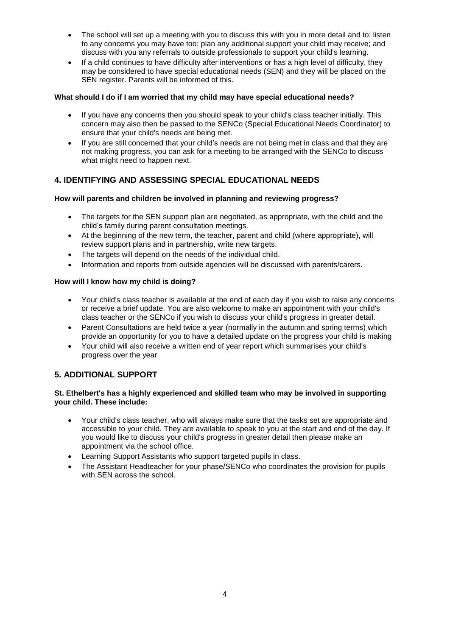- The school will set up a meeting with you to discuss this with you in more detail and to: listen to any concerns you may have too; plan any additional support your child may receive; and discuss with you any referrals to outside professionals to support your child's learning.
- If a child continues to have difficulty after interventions or has a high level of difficulty, they may be considered to have special educational needs (SEN) and they will be placed on the SEN register. Parents will be informed of this.

#### **What should I do if I am worried that my child may have special educational needs?**

- If you have any concerns then you should speak to your child's class teacher initially. This concern may also then be passed to the SENCo (Special Educational Needs Coordinator) to ensure that your child's needs are being met.
- If you are still concerned that your child's needs are not being met in class and that they are not making progress, you can ask for a meeting to be arranged with the SENCo to discuss what might need to happen next.

# **4. IDENTIFYING AND ASSESSING SPECIAL EDUCATIONAL NEEDS**

# **How will parents and children be involved in planning and reviewing progress?**

- The targets for the SEN support plan are negotiated, as appropriate, with the child and the child's family during parent consultation meetings.
- At the beginning of the new term, the teacher, parent and child (where appropriate), will review support plans and in partnership, write new targets.
- The targets will depend on the needs of the individual child.
- Information and reports from outside agencies will be discussed with parents/carers.

#### **How will I know how my child is doing?**

- Your child's class teacher is available at the end of each day if you wish to raise any concerns or receive a brief update. You are also welcome to make an appointment with your child's class teacher or the SENCo if you wish to discuss your child's progress in greater detail.
- Parent Consultations are held twice a year (normally in the autumn and spring terms) which provide an opportunity for you to have a detailed update on the progress your child is making
- Your child will also receive a written end of year report which summarises your child's progress over the year

# **5. ADDITIONAL SUPPORT**

#### **St. Ethelbert's has a highly experienced and skilled team who may be involved in supporting your child. These include:**

- Your child's class teacher, who will always make sure that the tasks set are appropriate and accessible to your child. They are available to speak to you at the start and end of the day. If you would like to discuss your child's progress in greater detail then please make an appointment via the school office.
- Learning Support Assistants who support targeted pupils in class.
- The Assistant Headteacher for your phase/SENCo who coordinates the provision for pupils with SEN across the school.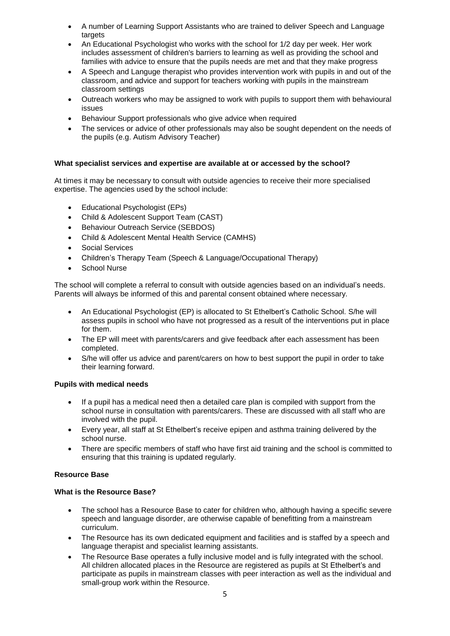- A number of Learning Support Assistants who are trained to deliver Speech and Language targets
- An Educational Psychologist who works with the school for 1/2 day per week. Her work includes assessment of children's barriers to learning as well as providing the school and families with advice to ensure that the pupils needs are met and that they make progress
- A Speech and Languge therapist who provides intervention work with pupils in and out of the classroom, and advice and support for teachers working with pupils in the mainstream classroom settings
- Outreach workers who may be assigned to work with pupils to support them with behavioural issues
- Behaviour Support professionals who give advice when required
- The services or advice of other professionals may also be sought dependent on the needs of the pupils (e.g. Autism Advisory Teacher)

#### **What specialist services and expertise are available at or accessed by the school?**

At times it may be necessary to consult with outside agencies to receive their more specialised expertise. The agencies used by the school include:

- Educational Psychologist (EPs)
- Child & Adolescent Support Team (CAST)
- **•** Behaviour Outreach Service (SEBDOS)
- Child & Adolescent Mental Health Service (CAMHS)
- Social Services
- Children's Therapy Team (Speech & Language/Occupational Therapy)
- School Nurse

The school will complete a referral to consult with outside agencies based on an individual's needs. Parents will always be informed of this and parental consent obtained where necessary.

- An Educational Psychologist (EP) is allocated to St Ethelbert's Catholic School. S/he will assess pupils in school who have not progressed as a result of the interventions put in place for them.
- The EP will meet with parents/carers and give feedback after each assessment has been completed.
- S/he will offer us advice and parent/carers on how to best support the pupil in order to take their learning forward.

#### **Pupils with medical needs**

- If a pupil has a medical need then a detailed care plan is compiled with support from the school nurse in consultation with parents/carers. These are discussed with all staff who are involved with the pupil.
- Every year, all staff at St Ethelbert's receive epipen and asthma training delivered by the school nurse.
- There are specific members of staff who have first aid training and the school is committed to ensuring that this training is updated regularly.

#### **Resource Base**

#### **What is the Resource Base?**

- The school has a Resource Base to cater for children who, although having a specific severe speech and language disorder, are otherwise capable of benefitting from a mainstream curriculum.
- The Resource has its own dedicated equipment and facilities and is staffed by a speech and language therapist and specialist learning assistants.
- The Resource Base operates a fully inclusive model and is fully integrated with the school. All children allocated places in the Resource are registered as pupils at St Ethelbert's and participate as pupils in mainstream classes with peer interaction as well as the individual and small-group work within the Resource.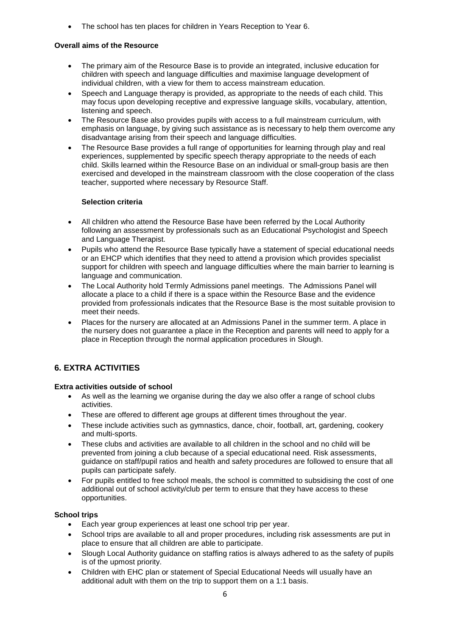The school has ten places for children in Years Reception to Year 6.

#### **Overall aims of the Resource**

- The primary aim of the Resource Base is to provide an integrated, inclusive education for children with speech and language difficulties and maximise language development of individual children, with a view for them to access mainstream education.
- Speech and Language therapy is provided, as appropriate to the needs of each child. This may focus upon developing receptive and expressive language skills, vocabulary, attention, listening and speech.
- The Resource Base also provides pupils with access to a full mainstream curriculum, with emphasis on language, by giving such assistance as is necessary to help them overcome any disadvantage arising from their speech and language difficulties.
- The Resource Base provides a full range of opportunities for learning through play and real experiences, supplemented by specific speech therapy appropriate to the needs of each child. Skills learned within the Resource Base on an individual or small-group basis are then exercised and developed in the mainstream classroom with the close cooperation of the class teacher, supported where necessary by Resource Staff.

#### **Selection criteria**

- All children who attend the Resource Base have been referred by the Local Authority following an assessment by professionals such as an Educational Psychologist and Speech and Language Therapist.
- Pupils who attend the Resource Base typically have a statement of special educational needs or an EHCP which identifies that they need to attend a provision which provides specialist support for children with speech and language difficulties where the main barrier to learning is language and communication.
- The Local Authority hold Termly Admissions panel meetings. The Admissions Panel will allocate a place to a child if there is a space within the Resource Base and the evidence provided from professionals indicates that the Resource Base is the most suitable provision to meet their needs.
- Places for the nursery are allocated at an Admissions Panel in the summer term. A place in the nursery does not guarantee a place in the Reception and parents will need to apply for a place in Reception through the normal application procedures in Slough.

# **6. EXTRA ACTIVITIES**

#### **Extra activities outside of school**

- As well as the learning we organise during the day we also offer a range of school clubs activities.
- These are offered to different age groups at different times throughout the year.
- These include activities such as gymnastics, dance, choir, football, art, gardening, cookery and multi-sports.
- These clubs and activities are available to all children in the school and no child will be prevented from joining a club because of a special educational need. Risk assessments, guidance on staff/pupil ratios and health and safety procedures are followed to ensure that all pupils can participate safely.
- For pupils entitled to free school meals, the school is committed to subsidising the cost of one additional out of school activity/club per term to ensure that they have access to these opportunities.

#### **School trips**

- Each year group experiences at least one school trip per year.
- School trips are available to all and proper procedures, including risk assessments are put in place to ensure that all children are able to participate.
- Slough Local Authority guidance on staffing ratios is always adhered to as the safety of pupils is of the upmost priority.
- Children with EHC plan or statement of Special Educational Needs will usually have an additional adult with them on the trip to support them on a 1:1 basis.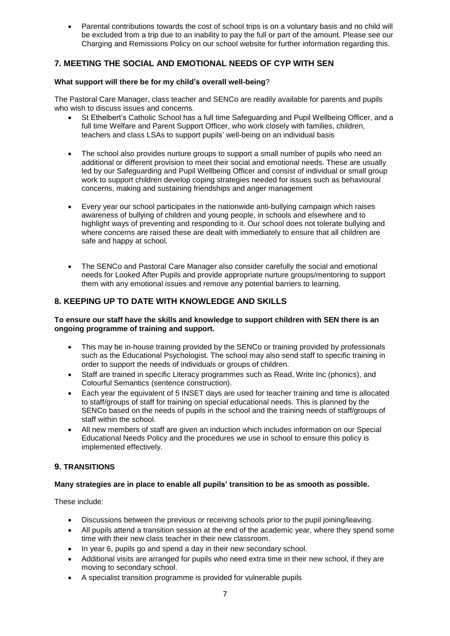Parental contributions towards the cost of school trips is on a voluntary basis and no child will be excluded from a trip due to an inability to pay the full or part of the amount. Please see our Charging and Remissions Policy on our school website for further information regarding this.

# **7. MEETING THE SOCIAL AND EMOTIONAL NEEDS OF CYP WITH SEN**

### **What support will there be for my child's overall well-being**?

The Pastoral Care Manager, class teacher and SENCo are readily available for parents and pupils who wish to discuss issues and concerns.

- St Ethelbert's Catholic School has a full time Safeguarding and Pupil Wellbeing Officer, and a full time Welfare and Parent Support Officer, who work closely with families, children, teachers and class LSAs to support pupils' well-being on an individual basis
- The school also provides nurture groups to support a small number of pupils who need an additional or different provision to meet their social and emotional needs. These are usually led by our Safeguarding and Pupil Wellbeing Officer and consist of individual or small group work to support children develop coping strategies needed for issues such as behavioural concerns, making and sustaining friendships and anger management
- Every year our school participates in the nationwide anti-bullying campaign which raises awareness of bullying of children and young people, in schools and elsewhere and to highlight ways of preventing and responding to it. Our school does not tolerate bullying and where concerns are raised these are dealt with immediately to ensure that all children are safe and happy at school.
- The SENCo and Pastoral Care Manager also consider carefully the social and emotional needs for Looked After Pupils and provide appropriate nurture groups/mentoring to support them with any emotional issues and remove any potential barriers to learning.

# **8. KEEPING UP TO DATE WITH KNOWLEDGE AND SKILLS**

#### **To ensure our staff have the skills and knowledge to support children with SEN there is an ongoing programme of training and support.**

- This may be in-house training provided by the SENCo or training provided by professionals such as the Educational Psychologist. The school may also send staff to specific training in order to support the needs of individuals or groups of children.
- Staff are trained in specific Literacy programmes such as Read, Write Inc (phonics), and Colourful Semantics (sentence construction).
- Each year the equivalent of 5 INSET days are used for teacher training and time is allocated to staff/groups of staff for training on special educational needs. This is planned by the SENCo based on the needs of pupils in the school and the training needs of staff/groups of staff within the school.
- All new members of staff are given an induction which includes information on our Special Educational Needs Policy and the procedures we use in school to ensure this policy is implemented effectively.

# **9. TRANSITIONS**

#### **Many strategies are in place to enable all pupils' transition to be as smooth as possible.**

These include:

- Discussions between the previous or receiving schools prior to the pupil joining/leaving.
- All pupils attend a transition session at the end of the academic year, where they spend some time with their new class teacher in their new classroom.
- In year 6, pupils go and spend a day in their new secondary school.
- Additional visits are arranged for pupils who need extra time in their new school, if they are moving to secondary school.
- A specialist transition programme is provided for vulnerable pupils